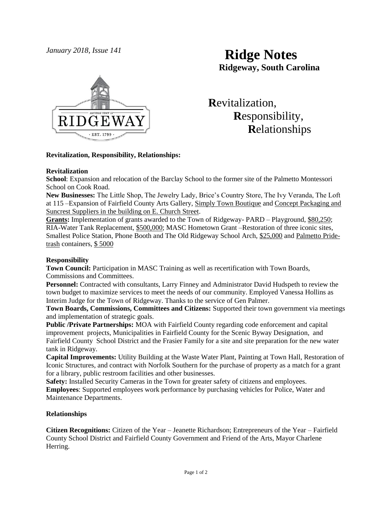

# *January 2018, Issue 141* **Ridge Notes Ridgeway, South Carolina**

 **R**evitalization,  **R**esponsibility,  **R**elationships

## **Revitalization, Responsibility, Relationships:**

# **Revitalization**

**School**: Expansion and relocation of the Barclay School to the former site of the Palmetto Montessori School on Cook Road.

**New Businesses:** The Little Shop, The Jewelry Lady, Brice's Country Store, The Ivy Veranda, The Loft at 115 –Expansion of Fairfield County Arts Gallery, Simply Town Boutique and Concept Packaging and Suncrest Suppliers in the building on E. Church Street.

**Grants:** Implementation of grants awarded to the Town of Ridgeway- PARD – Playground, \$80,250; RIA-Water Tank Replacement, \$500,000; MASC Hometown Grant –Restoration of three iconic sites, Smallest Police Station, Phone Booth and The Old Ridgeway School Arch, \$25,000 and Palmetto Pridetrash containers, \$ 5000

## **Responsibility**

**Town Council:** Participation in MASC Training as well as recertification with Town Boards, Commissions and Committees.

**Personnel:** Contracted with consultants, Larry Finney and Administrator David Hudspeth to review the town budget to maximize services to meet the needs of our community. Employed Vanessa Hollins as Interim Judge for the Town of Ridgeway. Thanks to the service of Gen Palmer.

**Town Boards, Commissions, Committees and Citizens:** Supported their town government via meetings and implementation of strategic goals.

**Public /Private Partnerships:** MOA with Fairfield County regarding code enforcement and capital improvement projects, Municipalities in Fairfield County for the Scenic Byway Designation, and Fairfield County School District and the Frasier Family for a site and site preparation for the new water tank in Ridgeway.

**Capital Improvements:** Utility Building at the Waste Water Plant, Painting at Town Hall, Restoration of Iconic Structures, and contract with Norfolk Southern for the purchase of property as a match for a grant for a library, public restroom facilities and other businesses.

**Safety:** Installed Security Cameras in the Town for greater safety of citizens and employees. **Employees**: Supported employees work performance by purchasing vehicles for Police, Water and Maintenance Departments.

# **Relationships**

**Citizen Recognitions:** Citizen of the Year – Jeanette Richardson; Entrepreneurs of the Year – Fairfield County School District and Fairfield County Government and Friend of the Arts, Mayor Charlene Herring.